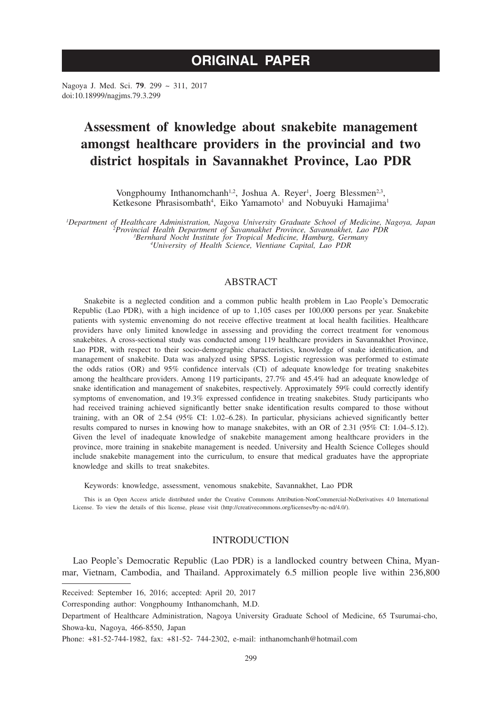# **ORIGINAL PAPER**

Nagoya J. Med. Sci. **79**. 299 ~ 311, 2017 doi:10.18999/nagjms.79.3.299

# **Assessment of knowledge about snakebite management amongst healthcare providers in the provincial and two district hospitals in Savannakhet Province, Lao PDR**

Vongphoumy Inthanomchanh<sup>1,2</sup>, Joshua A. Reyer<sup>1</sup>, Joerg Blessmen<sup>2,3</sup>, Ketkesone Phrasisombath<sup>4</sup>, Eiko Yamamoto<sup>1</sup> and Nobuyuki Hamajima<sup>1</sup>

*1 Department of Healthcare Administration, Nagoya University Graduate School of Medicine, Nagoya, Japan <sup>2</sup> Provincial Health Department of Savannakhet Province, Savannakhet, Lao PDR <sup>3</sup> Bernhard Nocht Institute for Tropical Medicine, Hamburg, Germany <sup>4</sup> University of Health Science, Vientiane Capital, Lao PDR*

## ABSTRACT

Snakebite is a neglected condition and a common public health problem in Lao People's Democratic Republic (Lao PDR), with a high incidence of up to 1,105 cases per 100,000 persons per year. Snakebite patients with systemic envenoming do not receive effective treatment at local health facilities. Healthcare providers have only limited knowledge in assessing and providing the correct treatment for venomous snakebites. A cross-sectional study was conducted among 119 healthcare providers in Savannakhet Province, Lao PDR, with respect to their socio-demographic characteristics, knowledge of snake identification, and management of snakebite. Data was analyzed using SPSS. Logistic regression was performed to estimate the odds ratios (OR) and 95% confidence intervals (CI) of adequate knowledge for treating snakebites among the healthcare providers. Among 119 participants, 27.7% and 45.4% had an adequate knowledge of snake identification and management of snakebites, respectively. Approximately 59% could correctly identify symptoms of envenomation, and 19.3% expressed confidence in treating snakebites. Study participants who had received training achieved significantly better snake identification results compared to those without training, with an OR of 2.54 (95% CI: 1.02–6.28). In particular, physicians achieved significantly better results compared to nurses in knowing how to manage snakebites, with an OR of 2.31 (95% CI: 1.04–5.12). Given the level of inadequate knowledge of snakebite management among healthcare providers in the province, more training in snakebite management is needed. University and Health Science Colleges should include snakebite management into the curriculum, to ensure that medical graduates have the appropriate knowledge and skills to treat snakebites.

Keywords: knowledge, assessment, venomous snakebite, Savannakhet, Lao PDR

This is an Open Access article distributed under the Creative Commons Attribution-NonCommercial-NoDerivatives 4.0 International License. To view the details of this license, please visit (http://creativecommons.org/licenses/by-nc-nd/4.0/).

## INTRODUCTION

Lao People's Democratic Republic (Lao PDR) is a landlocked country between China, Myanmar, Vietnam, Cambodia, and Thailand. Approximately 6.5 million people live within 236,800

Received: September 16, 2016; accepted: April 20, 2017

Phone: +81-52-744-1982, fax: +81-52- 744-2302, e-mail: inthanomchanh@hotmail.com

Corresponding author: Vongphoumy Inthanomchanh, M.D.

Department of Healthcare Administration, Nagoya University Graduate School of Medicine, 65 Tsurumai-cho, Showa-ku, Nagoya, 466-8550, Japan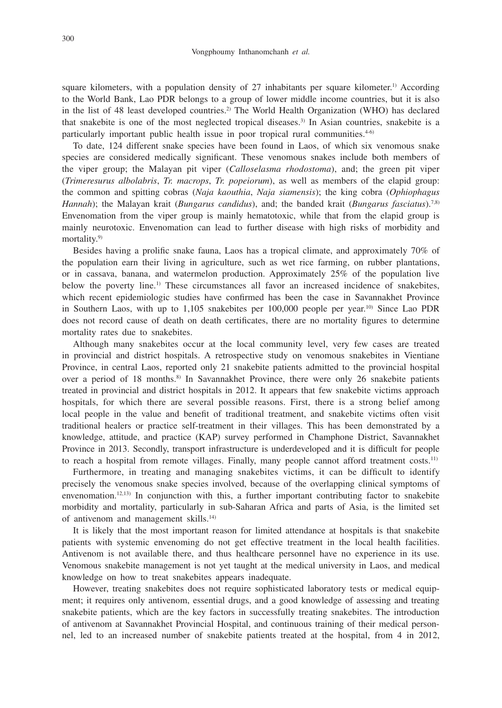square kilometers, with a population density of 27 inhabitants per square kilometer.<sup>1)</sup> According to the World Bank, Lao PDR belongs to a group of lower middle income countries, but it is also in the list of 48 least developed countries.<sup>2)</sup> The World Health Organization (WHO) has declared that snakebite is one of the most neglected tropical diseases.3) In Asian countries, snakebite is a particularly important public health issue in poor tropical rural communities. $4-6$ 

To date, 124 different snake species have been found in Laos, of which six venomous snake species are considered medically significant. These venomous snakes include both members of the viper group; the Malayan pit viper (*Calloselasma rhodostoma*), and; the green pit viper (*Trimeresurus albolabris*, *Tr. macrops*, *Tr. popeiorum*), as well as members of the elapid group: the common and spitting cobras (*Naja kaouthia*, *Naja siamensis*); the king cobra (*Ophiophagus Hannah*); the Malayan krait (*Bungarus candidus*), and; the banded krait (*Bungarus fasciatus*).7,8) Envenomation from the viper group is mainly hematotoxic, while that from the elapid group is mainly neurotoxic. Envenomation can lead to further disease with high risks of morbidity and mortality.<sup>9)</sup>

Besides having a prolific snake fauna, Laos has a tropical climate, and approximately 70% of the population earn their living in agriculture, such as wet rice farming, on rubber plantations, or in cassava, banana, and watermelon production. Approximately 25% of the population live below the poverty line.<sup>1)</sup> These circumstances all favor an increased incidence of snakebites, which recent epidemiologic studies have confirmed has been the case in Savannakhet Province in Southern Laos, with up to 1,105 snakebites per 100,000 people per year.<sup>10)</sup> Since Lao PDR does not record cause of death on death certificates, there are no mortality figures to determine mortality rates due to snakebites.

Although many snakebites occur at the local community level, very few cases are treated in provincial and district hospitals. A retrospective study on venomous snakebites in Vientiane Province, in central Laos, reported only 21 snakebite patients admitted to the provincial hospital over a period of 18 months.8) In Savannakhet Province, there were only 26 snakebite patients treated in provincial and district hospitals in 2012. It appears that few snakebite victims approach hospitals, for which there are several possible reasons. First, there is a strong belief among local people in the value and benefit of traditional treatment, and snakebite victims often visit traditional healers or practice self-treatment in their villages. This has been demonstrated by a knowledge, attitude, and practice (KAP) survey performed in Champhone District, Savannakhet Province in 2013. Secondly, transport infrastructure is underdeveloped and it is difficult for people to reach a hospital from remote villages. Finally, many people cannot afford treatment costs.<sup>11)</sup>

Furthermore, in treating and managing snakebites victims, it can be difficult to identify precisely the venomous snake species involved, because of the overlapping clinical symptoms of envenomation.<sup>12,13)</sup> In conjunction with this, a further important contributing factor to snakebite morbidity and mortality, particularly in sub-Saharan Africa and parts of Asia, is the limited set of antivenom and management skills.<sup>14)</sup>

It is likely that the most important reason for limited attendance at hospitals is that snakebite patients with systemic envenoming do not get effective treatment in the local health facilities. Antivenom is not available there, and thus healthcare personnel have no experience in its use. Venomous snakebite management is not yet taught at the medical university in Laos, and medical knowledge on how to treat snakebites appears inadequate.

However, treating snakebites does not require sophisticated laboratory tests or medical equipment; it requires only antivenom, essential drugs, and a good knowledge of assessing and treating snakebite patients, which are the key factors in successfully treating snakebites. The introduction of antivenom at Savannakhet Provincial Hospital, and continuous training of their medical personnel, led to an increased number of snakebite patients treated at the hospital, from 4 in 2012,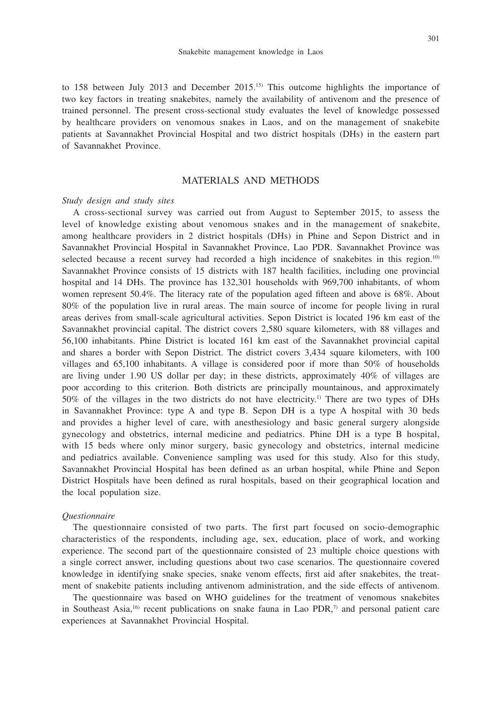to 158 between July 2013 and December 2015.15) This outcome highlights the importance of two key factors in treating snakebites, namely the availability of antivenom and the presence of trained personnel. The present cross-sectional study evaluates the level of knowledge possessed by healthcare providers on venomous snakes in Laos, and on the management of snakebite patients at Savannakhet Provincial Hospital and two district hospitals (DHs) in the eastern part of Savannakhet Province.

## MATERIALS AND METHODS

### *Study design and study sites*

A cross-sectional survey was carried out from August to September 2015, to assess the level of knowledge existing about venomous snakes and in the management of snakebite, among healthcare providers in 2 district hospitals (DHs) in Phine and Sepon District and in Savannakhet Provincial Hospital in Savannakhet Province, Lao PDR. Savannakhet Province was selected because a recent survey had recorded a high incidence of snakebites in this region.<sup>10)</sup> Savannakhet Province consists of 15 districts with 187 health facilities, including one provincial hospital and 14 DHs. The province has 132,301 households with 969,700 inhabitants, of whom women represent 50.4%. The literacy rate of the population aged fifteen and above is 68%. About 80% of the population live in rural areas. The main source of income for people living in rural areas derives from small-scale agricultural activities. Sepon District is located 196 km east of the Savannakhet provincial capital. The district covers 2,580 square kilometers, with 88 villages and 56,100 inhabitants. Phine District is located 161 km east of the Savannakhet provincial capital and shares a border with Sepon District. The district covers 3,434 square kilometers, with 100 villages and 65,100 inhabitants. A village is considered poor if more than 50% of households are living under 1.90 US dollar per day; in these districts, approximately 40% of villages are poor according to this criterion. Both districts are principally mountainous, and approximately 50% of the villages in the two districts do not have electricity.<sup>1)</sup> There are two types of DHs in Savannakhet Province: type A and type B. Sepon DH is a type A hospital with 30 beds and provides a higher level of care, with anesthesiology and basic general surgery alongside gynecology and obstetrics, internal medicine and pediatrics. Phine DH is a type B hospital, with 15 beds where only minor surgery, basic gynecology and obstetrics, internal medicine and pediatrics available. Convenience sampling was used for this study. Also for this study, Savannakhet Provincial Hospital has been defined as an urban hospital, while Phine and Sepon District Hospitals have been defined as rural hospitals, based on their geographical location and the local population size.

#### *Questionnaire*

The questionnaire consisted of two parts. The first part focused on socio-demographic characteristics of the respondents, including age, sex, education, place of work, and working experience. The second part of the questionnaire consisted of 23 multiple choice questions with a single correct answer, including questions about two case scenarios. The questionnaire covered knowledge in identifying snake species, snake venom effects, first aid after snakebites, the treatment of snakebite patients including antivenom administration, and the side effects of antivenom.

The questionnaire was based on WHO guidelines for the treatment of venomous snakebites in Southeast Asia,<sup>16)</sup> recent publications on snake fauna in Lao PDR,<sup>7)</sup> and personal patient care experiences at Savannakhet Provincial Hospital.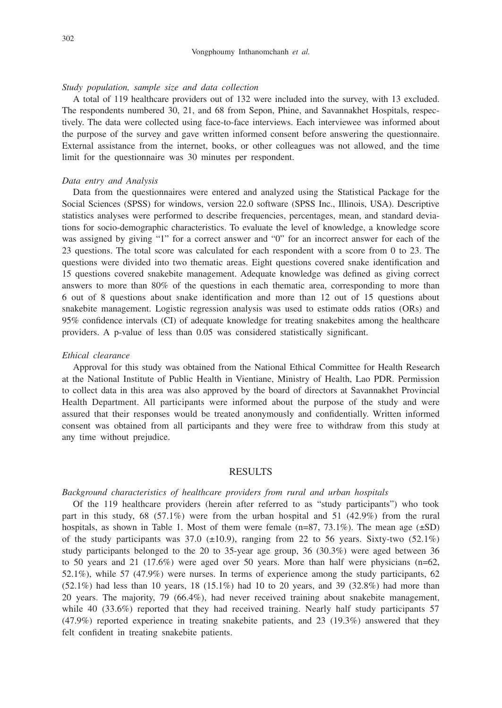### *Study population, sample size and data collection*

A total of 119 healthcare providers out of 132 were included into the survey, with 13 excluded. The respondents numbered 30, 21, and 68 from Sepon, Phine, and Savannakhet Hospitals, respectively. The data were collected using face-to-face interviews. Each interviewee was informed about the purpose of the survey and gave written informed consent before answering the questionnaire. External assistance from the internet, books, or other colleagues was not allowed, and the time limit for the questionnaire was 30 minutes per respondent.

#### *Data entry and Analysis*

Data from the questionnaires were entered and analyzed using the Statistical Package for the Social Sciences (SPSS) for windows, version 22.0 software (SPSS Inc., Illinois, USA). Descriptive statistics analyses were performed to describe frequencies, percentages, mean, and standard deviations for socio-demographic characteristics. To evaluate the level of knowledge, a knowledge score was assigned by giving "1" for a correct answer and "0" for an incorrect answer for each of the 23 questions. The total score was calculated for each respondent with a score from 0 to 23. The questions were divided into two thematic areas. Eight questions covered snake identification and 15 questions covered snakebite management. Adequate knowledge was defined as giving correct answers to more than 80% of the questions in each thematic area, corresponding to more than 6 out of 8 questions about snake identification and more than 12 out of 15 questions about snakebite management. Logistic regression analysis was used to estimate odds ratios (ORs) and 95% confidence intervals (CI) of adequate knowledge for treating snakebites among the healthcare providers. A p-value of less than 0.05 was considered statistically significant.

### *Ethical clearance*

Approval for this study was obtained from the National Ethical Committee for Health Research at the National Institute of Public Health in Vientiane, Ministry of Health, Lao PDR. Permission to collect data in this area was also approved by the board of directors at Savannakhet Provincial Health Department. All participants were informed about the purpose of the study and were assured that their responses would be treated anonymously and confidentially. Written informed consent was obtained from all participants and they were free to withdraw from this study at any time without prejudice.

### RESULTS

### *Background characteristics of healthcare providers from rural and urban hospitals*

Of the 119 healthcare providers (herein after referred to as "study participants") who took part in this study, 68 (57.1%) were from the urban hospital and 51 (42.9%) from the rural hospitals, as shown in Table 1. Most of them were female  $(n=87, 73.1\%)$ . The mean age  $(\pm SD)$ of the study participants was 37.0  $(\pm 10.9)$ , ranging from 22 to 56 years. Sixty-two (52.1%) study participants belonged to the 20 to 35-year age group, 36 (30.3%) were aged between 36 to 50 years and 21 (17.6%) were aged over 50 years. More than half were physicians ( $n=62$ , 52.1%), while 57 (47.9%) were nurses. In terms of experience among the study participants, 62  $(52.1\%)$  had less than 10 years, 18 (15.1%) had 10 to 20 years, and 39 (32.8%) had more than 20 years. The majority, 79 (66.4%), had never received training about snakebite management, while 40 (33.6%) reported that they had received training. Nearly half study participants 57 (47.9%) reported experience in treating snakebite patients, and 23 (19.3%) answered that they felt confident in treating snakebite patients.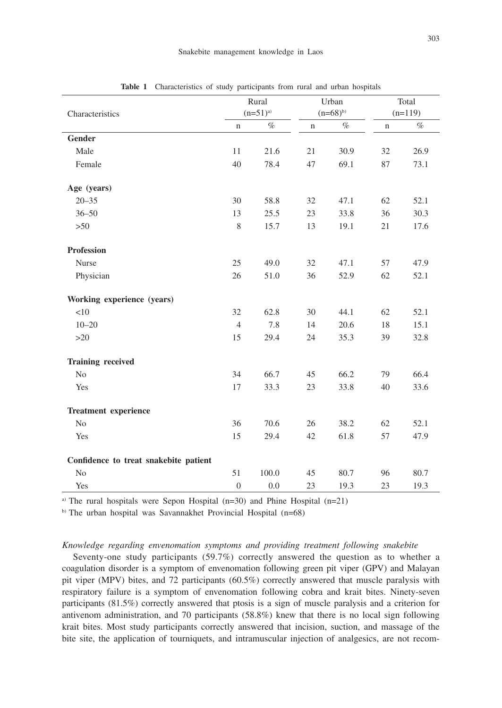|                                       | Rural          |       |              | Urban | Total       |      |
|---------------------------------------|----------------|-------|--------------|-------|-------------|------|
| Characteristics                       | $(n=51)^{a}$   |       | $(n=68)^{b}$ |       | $(n=119)$   |      |
|                                       | $\mathbf n$    | $\%$  | $\mathbf n$  | $\%$  | $\mathbf n$ | $\%$ |
| Gender                                |                |       |              |       |             |      |
| Male                                  | 11             | 21.6  | 21           | 30.9  | 32          | 26.9 |
| Female                                | 40             | 78.4  | 47           | 69.1  | 87          | 73.1 |
| Age (years)                           |                |       |              |       |             |      |
| $20 - 35$                             | 30             | 58.8  | 32           | 47.1  | 62          | 52.1 |
| $36 - 50$                             | 13             | 25.5  | 23           | 33.8  | 36          | 30.3 |
| $>50$                                 | 8              | 15.7  | 13           | 19.1  | 21          | 17.6 |
| <b>Profession</b>                     |                |       |              |       |             |      |
| Nurse                                 | 25             | 49.0  | 32           | 47.1  | 57          | 47.9 |
| Physician                             | 26             | 51.0  | 36           | 52.9  | 62          | 52.1 |
| Working experience (years)            |                |       |              |       |             |      |
| <10                                   | 32             | 62.8  | 30           | 44.1  | 62          | 52.1 |
| $10 - 20$                             | $\overline{4}$ | 7.8   | 14           | 20.6  | 18          | 15.1 |
| >20                                   | 15             | 29.4  | 24           | 35.3  | 39          | 32.8 |
| <b>Training received</b>              |                |       |              |       |             |      |
| N <sub>0</sub>                        | 34             | 66.7  | 45           | 66.2  | 79          | 66.4 |
| Yes                                   | 17             | 33.3  | 23           | 33.8  | 40          | 33.6 |
| <b>Treatment experience</b>           |                |       |              |       |             |      |
| No                                    | 36             | 70.6  | 26           | 38.2  | 62          | 52.1 |
| Yes                                   | 15             | 29.4  | 42           | 61.8  | 57          | 47.9 |
| Confidence to treat snakebite patient |                |       |              |       |             |      |
| N <sub>o</sub>                        | 51             | 100.0 | 45           | 80.7  | 96          | 80.7 |
| Yes                                   | $\overline{0}$ | 0.0   | 23           | 19.3  | 23          | 19.3 |

**Table 1** Characteristics of study participants from rural and urban hospitals

<sup>a)</sup> The rural hospitals were Sepon Hospital  $(n=30)$  and Phine Hospital  $(n=21)$ 

b) The urban hospital was Savannakhet Provincial Hospital (n=68)

*Knowledge regarding envenomation symptoms and providing treatment following snakebite*

Seventy-one study participants (59.7%) correctly answered the question as to whether a coagulation disorder is a symptom of envenomation following green pit viper (GPV) and Malayan pit viper (MPV) bites, and 72 participants (60.5%) correctly answered that muscle paralysis with respiratory failure is a symptom of envenomation following cobra and krait bites. Ninety-seven participants (81.5%) correctly answered that ptosis is a sign of muscle paralysis and a criterion for antivenom administration, and 70 participants (58.8%) knew that there is no local sign following krait bites. Most study participants correctly answered that incision, suction, and massage of the bite site, the application of tourniquets, and intramuscular injection of analgesics, are not recom-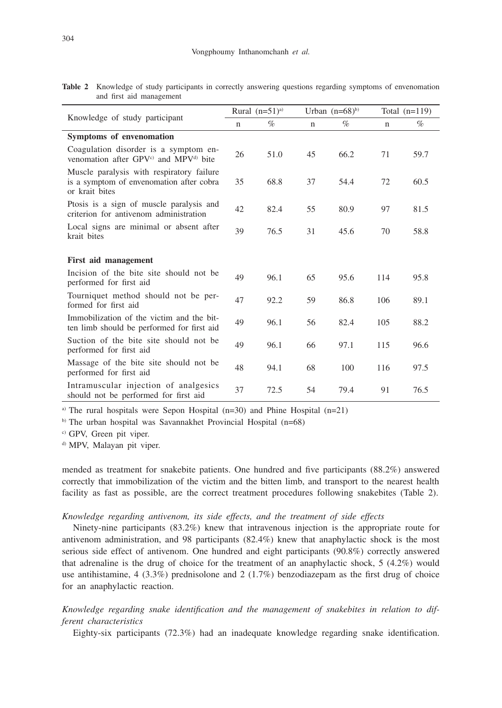|                                                                                                         | Rural $(n=51)^{a}$ |      |             | Urban $(n=68)^{b}$ | Total $(n=119)$ |      |
|---------------------------------------------------------------------------------------------------------|--------------------|------|-------------|--------------------|-----------------|------|
| Knowledge of study participant                                                                          |                    | $\%$ | $\mathbf n$ | %                  | $\mathbf n$     | $\%$ |
| Symptoms of envenomation                                                                                |                    |      |             |                    |                 |      |
| Coagulation disorder is a symptom en-<br>venomation after GPV <sup>c)</sup> and MPV <sup>d)</sup> bite  | 26                 | 51.0 | 45          | 66.2               | 71              | 59.7 |
| Muscle paralysis with respiratory failure<br>is a symptom of envenomation after cobra<br>or krait bites | 35                 | 68.8 | 37          | 54.4               | 72              | 60.5 |
| Ptosis is a sign of muscle paralysis and<br>criterion for antivenom administration                      | 42                 | 82.4 | 55          | 80.9               | 97              | 81.5 |
| Local signs are minimal or absent after<br>krait bites                                                  |                    | 76.5 | 31          | 45.6               | 70              | 58.8 |
| First aid management                                                                                    |                    |      |             |                    |                 |      |
| Incision of the bite site should not be<br>performed for first aid                                      | 49                 | 96.1 | 65          | 95.6               | 114             | 95.8 |
| Tourniquet method should not be per-<br>formed for first aid                                            | 47                 | 92.2 | 59          | 86.8               | 106             | 89.1 |
| Immobilization of the victim and the bit-<br>ten limb should be performed for first aid                 | 49                 | 96.1 | 56          | 82.4               | 105             | 88.2 |
| Suction of the bite site should not be<br>performed for first aid                                       | 49                 | 96.1 | 66          | 97.1               | 115             | 96.6 |
| Massage of the bite site should not be<br>performed for first aid                                       | 48                 | 94.1 | 68          | 100                | 116             | 97.5 |
| Intramuscular injection of analgesics<br>should not be performed for first aid                          | 37                 | 72.5 | 54          | 79.4               | 91              | 76.5 |

**Table 2** Knowledge of study participants in correctly answering questions regarding symptoms of envenomation and first aid management

a) The rural hospitals were Sepon Hospital (n=30) and Phine Hospital (n=21)

b) The urban hospital was Savannakhet Provincial Hospital (n=68)

c) GPV, Green pit viper.

d) MPV, Malayan pit viper.

mended as treatment for snakebite patients. One hundred and five participants (88.2%) answered correctly that immobilization of the victim and the bitten limb, and transport to the nearest health facility as fast as possible, are the correct treatment procedures following snakebites (Table 2).

## *Knowledge regarding antivenom, its side effects, and the treatment of side effects*

Ninety-nine participants (83.2%) knew that intravenous injection is the appropriate route for antivenom administration, and 98 participants (82.4%) knew that anaphylactic shock is the most serious side effect of antivenom. One hundred and eight participants (90.8%) correctly answered that adrenaline is the drug of choice for the treatment of an anaphylactic shock, 5 (4.2%) would use antihistamine,  $4$  (3.3%) prednisolone and 2 (1.7%) benzodiazepam as the first drug of choice for an anaphylactic reaction.

*Knowledge regarding snake identification and the management of snakebites in relation to different characteristics*

Eighty-six participants (72.3%) had an inadequate knowledge regarding snake identification.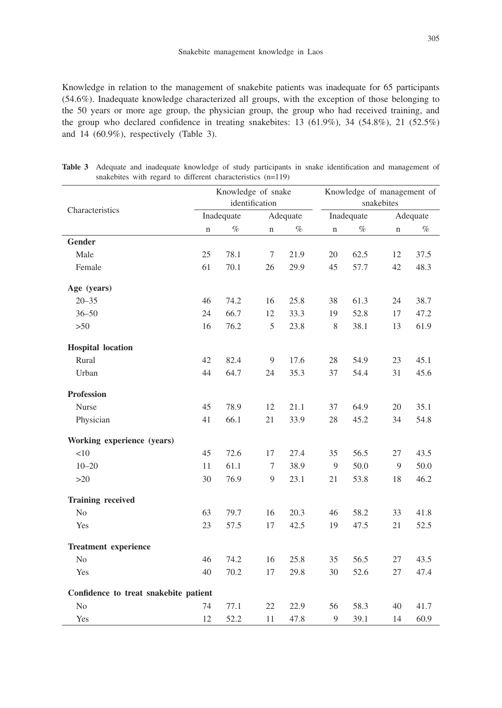Knowledge in relation to the management of snakebite patients was inadequate for 65 participants (54.6%). Inadequate knowledge characterized all groups, with the exception of those belonging to the 50 years or more age group, the physician group, the group who had received training, and the group who declared confidence in treating snakebites: 13 (61.9%), 34 (54.8%), 21 (52.5%) and 14 (60.9%), respectively (Table 3).

|                                       | Knowledge of snake |      |             |          | Knowledge of management of |            |             |      |
|---------------------------------------|--------------------|------|-------------|----------|----------------------------|------------|-------------|------|
|                                       | identification     |      |             |          | snakebites                 |            |             |      |
| Characteristics                       | Inadequate         |      |             | Adequate |                            | Inadequate | Adequate    |      |
|                                       | $\mathbf n$        | $\%$ | $\mathbf n$ | $\%$     | n                          | $\%$       | $\mathbf n$ | $\%$ |
| Gender                                |                    |      |             |          |                            |            |             |      |
| Male                                  | 25                 | 78.1 | 7           | 21.9     | 20                         | 62.5       | 12          | 37.5 |
| Female                                | 61                 | 70.1 | 26          | 29.9     | 45                         | 57.7       | 42          | 48.3 |
| Age (years)                           |                    |      |             |          |                            |            |             |      |
| $20 - 35$                             | 46                 | 74.2 | 16          | 25.8     | 38                         | 61.3       | 24          | 38.7 |
| $36 - 50$                             | 24                 | 66.7 | 12          | 33.3     | 19                         | 52.8       | 17          | 47.2 |
| $>50$                                 | 16                 | 76.2 | 5           | 23.8     | $\,$ 8 $\,$                | 38.1       | 13          | 61.9 |
| <b>Hospital</b> location              |                    |      |             |          |                            |            |             |      |
| Rural                                 | 42                 | 82.4 | 9           | 17.6     | 28                         | 54.9       | 23          | 45.1 |
| Urban                                 | 44                 | 64.7 | 24          | 35.3     | 37                         | 54.4       | 31          | 45.6 |
| <b>Profession</b>                     |                    |      |             |          |                            |            |             |      |
| Nurse                                 | 45                 | 78.9 | 12          | 21.1     | 37                         | 64.9       | 20          | 35.1 |
| Physician                             | 41                 | 66.1 | 21          | 33.9     | 28                         | 45.2       | 34          | 54.8 |
| Working experience (years)            |                    |      |             |          |                            |            |             |      |
| <10                                   | 45                 | 72.6 | 17          | 27.4     | 35                         | 56.5       | 27          | 43.5 |
| $10 - 20$                             | 11                 | 61.1 | 7           | 38.9     | 9                          | 50.0       | 9           | 50.0 |
| $>20$                                 | 30                 | 76.9 | 9           | 23.1     | 21                         | 53.8       | 18          | 46.2 |
| <b>Training received</b>              |                    |      |             |          |                            |            |             |      |
| N <sub>o</sub>                        | 63                 | 79.7 | 16          | 20.3     | 46                         | 58.2       | 33          | 41.8 |
| Yes                                   | 23                 | 57.5 | 17          | 42.5     | 19                         | 47.5       | 21          | 52.5 |
| <b>Treatment experience</b>           |                    |      |             |          |                            |            |             |      |
| No                                    | 46                 | 74.2 | 16          | 25.8     | 35                         | 56.5       | 27          | 43.5 |
| Yes                                   | 40                 | 70.2 | 17          | 29.8     | 30                         | 52.6       | 27          | 47.4 |
| Confidence to treat snakebite patient |                    |      |             |          |                            |            |             |      |
| N <sub>o</sub>                        | 74                 | 77.1 | 22          | 22.9     | 56                         | 58.3       | 40          | 41.7 |
| Yes                                   | 12                 | 52.2 | 11          | 47.8     | $\overline{Q}$             | 39.1       | 14          | 60.9 |

**Table 3** Adequate and inadequate knowledge of study participants in snake identification and management of snakebites with regard to different characteristics (n=119)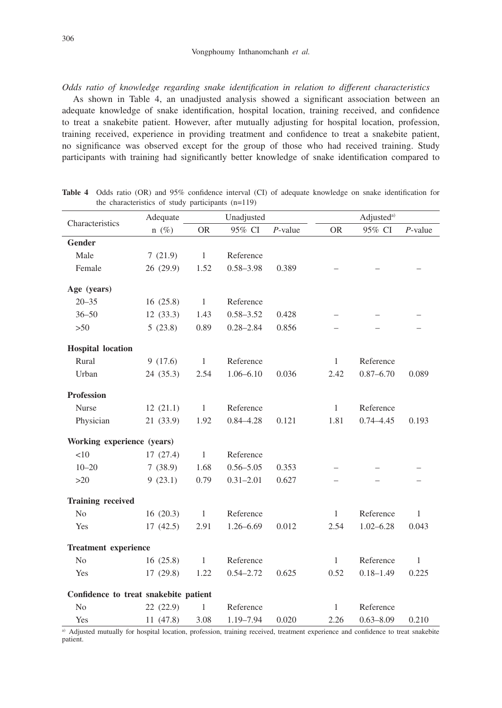*Odds ratio of knowledge regarding snake identification in relation to different characteristics*

As shown in Table 4, an unadjusted analysis showed a significant association between an adequate knowledge of snake identification, hospital location, training received, and confidence to treat a snakebite patient. However, after mutually adjusting for hospital location, profession, training received, experience in providing treatment and confidence to treat a snakebite patient, no significance was observed except for the group of those who had received training. Study participants with training had significantly better knowledge of snake identification compared to

|                                       | Adequate  | Unadjusted   |               |            | Adjusted <sup>a)</sup> |               |              |  |
|---------------------------------------|-----------|--------------|---------------|------------|------------------------|---------------|--------------|--|
| Characteristics                       | $n(\%)$   | <b>OR</b>    | 95% CI        | $P$ -value | <b>OR</b>              | 95% CI        | $P$ -value   |  |
| <b>Gender</b>                         |           |              |               |            |                        |               |              |  |
| Male                                  | 7(21.9)   | $\mathbf{1}$ | Reference     |            |                        |               |              |  |
| Female                                | 26 (29.9) | 1.52         | $0.58 - 3.98$ | 0.389      |                        |               |              |  |
| Age (years)                           |           |              |               |            |                        |               |              |  |
| $20 - 35$                             | 16(25.8)  | $\mathbf{1}$ | Reference     |            |                        |               |              |  |
| $36 - 50$                             | 12(33.3)  | 1.43         | $0.58 - 3.52$ | 0.428      |                        |               |              |  |
| $>50$                                 | 5(23.8)   | 0.89         | $0.28 - 2.84$ | 0.856      |                        |               |              |  |
| <b>Hospital</b> location              |           |              |               |            |                        |               |              |  |
| Rural                                 | 9(17.6)   | $\mathbf{1}$ | Reference     |            | $\mathbf{1}$           | Reference     |              |  |
| Urban                                 | 24(35.3)  | 2.54         | $1.06 - 6.10$ | 0.036      | 2.42                   | $0.87 - 6.70$ | 0.089        |  |
| <b>Profession</b>                     |           |              |               |            |                        |               |              |  |
| Nurse                                 | 12(21.1)  | $\mathbf{1}$ | Reference     |            | $\mathbf{1}$           | Reference     |              |  |
| Physician                             | 21 (33.9) | 1.92         | $0.84 - 4.28$ | 0.121      | 1.81                   | $0.74 - 4.45$ | 0.193        |  |
| Working experience (years)            |           |              |               |            |                        |               |              |  |
| < 10                                  | 17(27.4)  | $\mathbf{1}$ | Reference     |            |                        |               |              |  |
| $10 - 20$                             | 7(38.9)   | 1.68         | $0.56 - 5.05$ | 0.353      |                        |               |              |  |
| $>20$                                 | 9(23.1)   | 0.79         | $0.31 - 2.01$ | 0.627      |                        |               |              |  |
| <b>Training received</b>              |           |              |               |            |                        |               |              |  |
| N <sub>o</sub>                        | 16(20.3)  | $\mathbf{1}$ | Reference     |            | $\mathbf{1}$           | Reference     | $\mathbf{1}$ |  |
| Yes                                   | 17(42.5)  | 2.91         | $1.26 - 6.69$ | 0.012      | 2.54                   | $1.02 - 6.28$ | 0.043        |  |
| <b>Treatment experience</b>           |           |              |               |            |                        |               |              |  |
| N <sub>o</sub>                        | 16(25.8)  | $\mathbf{1}$ | Reference     |            | $\mathbf{1}$           | Reference     | $\mathbf{1}$ |  |
| Yes                                   | 17(29.8)  | 1.22         | $0.54 - 2.72$ | 0.625      | 0.52                   | $0.18 - 1.49$ | 0.225        |  |
| Confidence to treat snakebite patient |           |              |               |            |                        |               |              |  |
| N <sub>o</sub>                        | 22(22.9)  | 1            | Reference     |            | $\mathbf{1}$           | Reference     |              |  |
| Yes                                   | 11 (47.8) | 3.08         | 1.19-7.94     | 0.020      | 2.26                   | $0.63 - 8.09$ | 0.210        |  |

**Table 4** Odds ratio (OR) and 95% confidence interval (CI) of adequate knowledge on snake identification for the characteristics of study participants (n=119)

a) Adjusted mutually for hospital location, profession, training received, treatment experience and confidence to treat snakebite patient.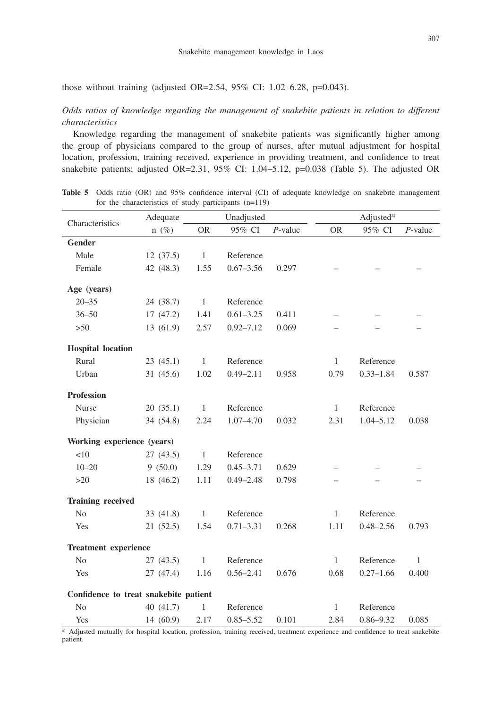those without training (adjusted OR=2.54, 95% CI: 1.02–6.28, p=0.043).

*Odds ratios of knowledge regarding the management of snakebite patients in relation to different characteristics*

Knowledge regarding the management of snakebite patients was significantly higher among the group of physicians compared to the group of nurses, after mutual adjustment for hospital location, profession, training received, experience in providing treatment, and confidence to treat snakebite patients; adjusted OR=2.31, 95% CI: 1.04–5.12, p=0.038 (Table 5). The adjusted OR

|                                       | Adequate  | Unadjusted   |               |            |              | Adjusted <sup>a)</sup> |              |  |  |
|---------------------------------------|-----------|--------------|---------------|------------|--------------|------------------------|--------------|--|--|
| Characteristics                       | $n(\%)$   | <b>OR</b>    | 95% CI        | $P$ -value | <b>OR</b>    | 95% CI                 | $P$ -value   |  |  |
| Gender                                |           |              |               |            |              |                        |              |  |  |
| Male                                  | 12(37.5)  | $\mathbf{1}$ | Reference     |            |              |                        |              |  |  |
| Female                                | 42 (48.3) | 1.55         | $0.67 - 3.56$ | 0.297      |              |                        |              |  |  |
| Age (years)                           |           |              |               |            |              |                        |              |  |  |
| $20 - 35$                             | 24 (38.7) | $\mathbf{1}$ | Reference     |            |              |                        |              |  |  |
| $36 - 50$                             | 17(47.2)  | 1.41         | $0.61 - 3.25$ | 0.411      |              |                        |              |  |  |
| $>50$                                 | 13 (61.9) | 2.57         | $0.92 - 7.12$ | 0.069      |              |                        |              |  |  |
| <b>Hospital</b> location              |           |              |               |            |              |                        |              |  |  |
| Rural                                 | 23(45.1)  | $\mathbf{1}$ | Reference     |            | $\mathbf{1}$ | Reference              |              |  |  |
| Urban                                 | 31(45.6)  | 1.02         | $0.49 - 2.11$ | 0.958      | 0.79         | $0.33 - 1.84$          | 0.587        |  |  |
| <b>Profession</b>                     |           |              |               |            |              |                        |              |  |  |
| Nurse                                 | 20(35.1)  | $\mathbf{1}$ | Reference     |            | $\mathbf{1}$ | Reference              |              |  |  |
| Physician                             | 34 (54.8) | 2.24         | $1.07 - 4.70$ | 0.032      | 2.31         | $1.04 - 5.12$          | 0.038        |  |  |
| Working experience (years)            |           |              |               |            |              |                        |              |  |  |
| <10                                   | 27(43.5)  | $\mathbf{1}$ | Reference     |            |              |                        |              |  |  |
| $10 - 20$                             | 9(50.0)   | 1.29         | $0.45 - 3.71$ | 0.629      |              |                        |              |  |  |
| $>20$                                 | 18 (46.2) | 1.11         | $0.49 - 2.48$ | 0.798      |              |                        |              |  |  |
| <b>Training received</b>              |           |              |               |            |              |                        |              |  |  |
| No                                    | 33 (41.8) | $\mathbf{1}$ | Reference     |            | $\mathbf{1}$ | Reference              |              |  |  |
| Yes                                   | 21(52.5)  | 1.54         | $0.71 - 3.31$ | 0.268      | 1.11         | $0.48 - 2.56$          | 0.793        |  |  |
| <b>Treatment</b> experience           |           |              |               |            |              |                        |              |  |  |
| No                                    | 27(43.5)  | $\mathbf{1}$ | Reference     |            | $\mathbf{1}$ | Reference              | $\mathbf{1}$ |  |  |
| Yes                                   | 27 (47.4) | 1.16         | $0.56 - 2.41$ | 0.676      | 0.68         | $0.27 - 1.66$          | 0.400        |  |  |
| Confidence to treat snakebite patient |           |              |               |            |              |                        |              |  |  |
| N <sub>0</sub>                        | 40 (41.7) | $\mathbf{1}$ | Reference     |            | $\mathbf{1}$ | Reference              |              |  |  |
| Yes                                   | 14 (60.9) | 2.17         | $0.85 - 5.52$ | 0.101      | 2.84         | $0.86 - 9.32$          | 0.085        |  |  |

Table 5 Odds ratio (OR) and 95% confidence interval (CI) of adequate knowledge on snakebite management for the characteristics of study participants (n=119)

a) Adjusted mutually for hospital location, profession, training received, treatment experience and confidence to treat snakebite patient.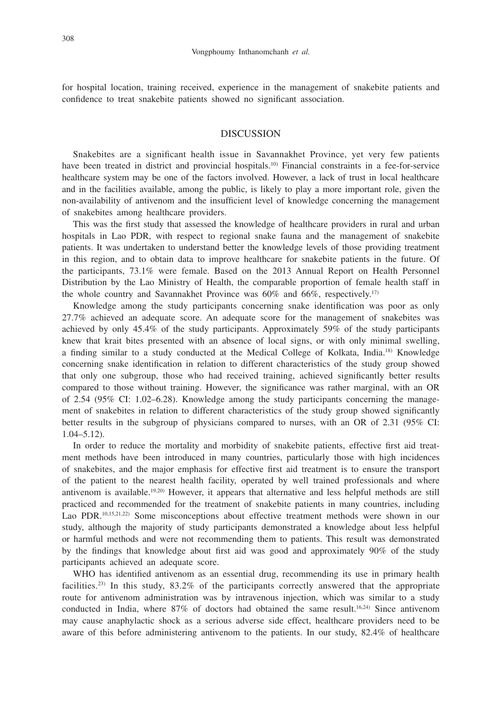for hospital location, training received, experience in the management of snakebite patients and confidence to treat snakebite patients showed no significant association.

### DISCUSSION

Snakebites are a significant health issue in Savannakhet Province, yet very few patients have been treated in district and provincial hospitals.<sup>10)</sup> Financial constraints in a fee-for-service healthcare system may be one of the factors involved. However, a lack of trust in local healthcare and in the facilities available, among the public, is likely to play a more important role, given the non-availability of antivenom and the insufficient level of knowledge concerning the management of snakebites among healthcare providers.

This was the first study that assessed the knowledge of healthcare providers in rural and urban hospitals in Lao PDR, with respect to regional snake fauna and the management of snakebite patients. It was undertaken to understand better the knowledge levels of those providing treatment in this region, and to obtain data to improve healthcare for snakebite patients in the future. Of the participants, 73.1% were female. Based on the 2013 Annual Report on Health Personnel Distribution by the Lao Ministry of Health, the comparable proportion of female health staff in the whole country and Savannakhet Province was  $60\%$  and  $66\%$ , respectively.<sup>17)</sup>

Knowledge among the study participants concerning snake identification was poor as only 27.7% achieved an adequate score. An adequate score for the management of snakebites was achieved by only 45.4% of the study participants. Approximately 59% of the study participants knew that krait bites presented with an absence of local signs, or with only minimal swelling, a finding similar to a study conducted at the Medical College of Kolkata, India.<sup>18)</sup> Knowledge concerning snake identification in relation to different characteristics of the study group showed that only one subgroup, those who had received training, achieved significantly better results compared to those without training. However, the significance was rather marginal, with an OR of 2.54 (95% CI: 1.02–6.28). Knowledge among the study participants concerning the management of snakebites in relation to different characteristics of the study group showed significantly better results in the subgroup of physicians compared to nurses, with an OR of 2.31 (95% CI: 1.04–5.12).

In order to reduce the mortality and morbidity of snakebite patients, effective first aid treatment methods have been introduced in many countries, particularly those with high incidences of snakebites, and the major emphasis for effective first aid treatment is to ensure the transport of the patient to the nearest health facility, operated by well trained professionals and where antivenom is available.19,20) However, it appears that alternative and less helpful methods are still practiced and recommended for the treatment of snakebite patients in many countries, including Lao PDR.<sup>10,15,21,22)</sup> Some misconceptions about effective treatment methods were shown in our study, although the majority of study participants demonstrated a knowledge about less helpful or harmful methods and were not recommending them to patients. This result was demonstrated by the findings that knowledge about first aid was good and approximately 90% of the study participants achieved an adequate score.

WHO has identified antivenom as an essential drug, recommending its use in primary health facilities.<sup>23)</sup> In this study, 83.2% of the participants correctly answered that the appropriate route for antivenom administration was by intravenous injection, which was similar to a study conducted in India, where  $87\%$  of doctors had obtained the same result.<sup>16,24)</sup> Since antivenom may cause anaphylactic shock as a serious adverse side effect, healthcare providers need to be aware of this before administering antivenom to the patients. In our study, 82.4% of healthcare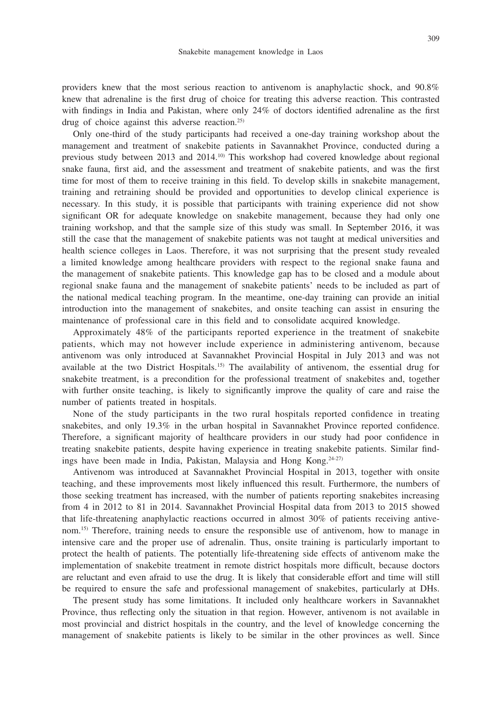providers knew that the most serious reaction to antivenom is anaphylactic shock, and 90.8% knew that adrenaline is the first drug of choice for treating this adverse reaction. This contrasted with findings in India and Pakistan, where only 24% of doctors identified adrenaline as the first drug of choice against this adverse reaction.<sup>25)</sup>

Only one-third of the study participants had received a one-day training workshop about the management and treatment of snakebite patients in Savannakhet Province, conducted during a previous study between 2013 and  $2014<sup>10</sup>$  This workshop had covered knowledge about regional snake fauna, first aid, and the assessment and treatment of snakebite patients, and was the first time for most of them to receive training in this field. To develop skills in snakebite management, training and retraining should be provided and opportunities to develop clinical experience is necessary. In this study, it is possible that participants with training experience did not show significant OR for adequate knowledge on snakebite management, because they had only one training workshop, and that the sample size of this study was small. In September 2016, it was still the case that the management of snakebite patients was not taught at medical universities and health science colleges in Laos. Therefore, it was not surprising that the present study revealed a limited knowledge among healthcare providers with respect to the regional snake fauna and the management of snakebite patients. This knowledge gap has to be closed and a module about regional snake fauna and the management of snakebite patients' needs to be included as part of the national medical teaching program. In the meantime, one-day training can provide an initial introduction into the management of snakebites, and onsite teaching can assist in ensuring the maintenance of professional care in this field and to consolidate acquired knowledge.

Approximately 48% of the participants reported experience in the treatment of snakebite patients, which may not however include experience in administering antivenom, because antivenom was only introduced at Savannakhet Provincial Hospital in July 2013 and was not available at the two District Hospitals.15) The availability of antivenom, the essential drug for snakebite treatment, is a precondition for the professional treatment of snakebites and, together with further onsite teaching, is likely to significantly improve the quality of care and raise the number of patients treated in hospitals.

None of the study participants in the two rural hospitals reported confidence in treating snakebites, and only 19.3% in the urban hospital in Savannakhet Province reported confidence. Therefore, a significant majority of healthcare providers in our study had poor confidence in treating snakebite patients, despite having experience in treating snakebite patients. Similar findings have been made in India, Pakistan, Malaysia and Hong Kong.<sup>24-27)</sup>

Antivenom was introduced at Savannakhet Provincial Hospital in 2013, together with onsite teaching, and these improvements most likely influenced this result. Furthermore, the numbers of those seeking treatment has increased, with the number of patients reporting snakebites increasing from 4 in 2012 to 81 in 2014. Savannakhet Provincial Hospital data from 2013 to 2015 showed that life-threatening anaphylactic reactions occurred in almost 30% of patients receiving antivenom.<sup>15)</sup> Therefore, training needs to ensure the responsible use of antivenom, how to manage in intensive care and the proper use of adrenalin. Thus, onsite training is particularly important to protect the health of patients. The potentially life-threatening side effects of antivenom make the implementation of snakebite treatment in remote district hospitals more difficult, because doctors are reluctant and even afraid to use the drug. It is likely that considerable effort and time will still be required to ensure the safe and professional management of snakebites, particularly at DHs.

The present study has some limitations. It included only healthcare workers in Savannakhet Province, thus reflecting only the situation in that region. However, antivenom is not available in most provincial and district hospitals in the country, and the level of knowledge concerning the management of snakebite patients is likely to be similar in the other provinces as well. Since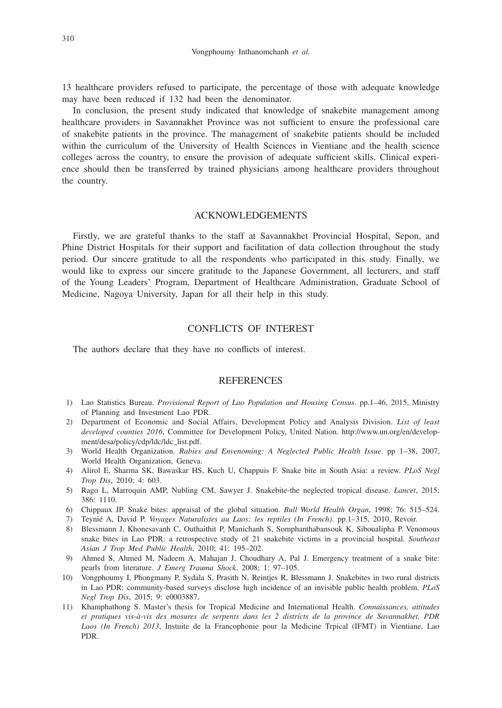13 healthcare providers refused to participate, the percentage of those with adequate knowledge may have been reduced if 132 had been the denominator.

In conclusion, the present study indicated that knowledge of snakebite management among healthcare providers in Savannakhet Province was not sufficient to ensure the professional care of snakebite patients in the province. The management of snakebite patients should be included within the curriculum of the University of Health Sciences in Vientiane and the health science colleges across the country, to ensure the provision of adequate sufficient skills. Clinical experience should then be transferred by trained physicians among healthcare providers throughout the country.

## ACKNOWLEDGEMENTS

Firstly, we are grateful thanks to the staff at Savannakhet Provincial Hospital, Sepon, and Phine District Hospitals for their support and facilitation of data collection throughout the study period. Our sincere gratitude to all the respondents who participated in this study. Finally, we would like to express our sincere gratitude to the Japanese Government, all lecturers, and staff of the Young Leaders' Program, Department of Healthcare Administration, Graduate School of Medicine, Nagoya University, Japan for all their help in this study.

## CONFLICTS OF INTEREST

The authors declare that they have no conflicts of interest.

## **REFERENCES**

- 1) Lao Statistics Bureau. *Provisional Report of Lao Population and Housing Census*. pp.1–46, 2015, Ministry of Planning and Investment Lao PDR.
- 2) Department of Economic and Social Affairs, Development Policy and Analysis Division. *List of least developed counties 2016*, Committee for Development Policy, United Nation. http://www.un.org/en/development/desa/policy/cdp/ldc/ldc\_list.pdf.
- 3) World Health Organization. *Rabies and Envenoming: A Neglected Public Health Issue*. pp 1–38, 2007, World Health Organization, Geneva.
- 4) Alirol E, Sharma SK, Bawaskar HS, Kuch U, Chappuis F. Snake bite in South Asia: a review. *PLoS Negl Trop Dis*, 2010; 4: 603.
- 5) Rago L, Marroquin AMP, Nubling CM, Sawyer J. Snakebite-the neglected tropical disease. *Lancet*, 2015; 386: 1110.
- 6) Chippaux JP. Snake bites: appraisal of the global situation. *Bull World Health Organ*, 1998; 76: 515–524.
- 7) Teynié A, David P. *Voyages Naturalistes au Laos: les reptiles (In French)*. pp.1–315, 2010, Revoir.
- 8) Blessmann J, Khonesavanh C, Outhaithit P, Manichanh S, Somphanthabansouk K, Siboualipha P. Venomous snake bites in Lao PDR: a retrospective study of 21 snakebite victims in a provincial hospital. *Southeast Asian J Trop Med Public Health*, 2010; 41: 195–202.
- 9) Ahmed S, Ahmed M, Nadeem A, Mahajan J, Choudhary A, Pal J. Emergency treatment of a snake bite: pearls from literature. *J Emerg Trauma Shock*, 2008; 1: 97–105.
- 10) Vongphoumy I, Phongmany P, Sydala S, Prasith N, Reintjes R, Blessmann J. Snakebites in two rural districts in Lao PDR: community-based surveys disclose high incidence of an invisible public health problem. *PLoS Negl Trop Dis*, 2015; 9: e0003887.
- 11) Khamphathong S. Master's thesis for Tropical Medicine and International Health. *Connaissances, attitudes et pratiques vis-à-vis des mosures de serpents dans les 2 districts de la province de Savannakhet, PDR Laos (In French) 2013*, Instuite de la Francophonie pour la Medicine Trpical (IFMT) in Vientiane, Lao PDR.